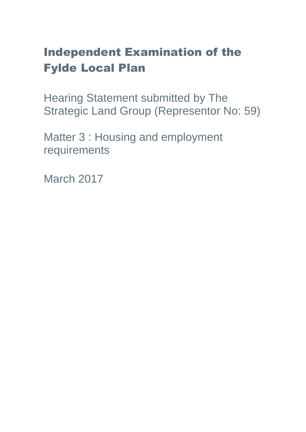# Independent Examination of the Fylde Local Plan

Hearing Statement submitted by The Strategic Land Group (Representor No: 59)

Matter 3 : Housing and employment requirements

March 2017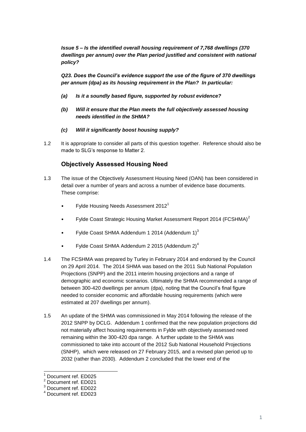*Issue 5 – Is the identified overall housing requirement of 7,768 dwellings (370 dwellings per annum) over the Plan period justified and consistent with national policy?* 

*Q23. Does the Council's evidence support the use of the figure of 370 dwellings per annum (dpa) as its housing requirement in the Plan? In particular:*

- *(a) Is it a soundly based figure, supported by robust evidence?*
- *(b) Will it ensure that the Plan meets the full objectively assessed housing needs identified in the SHMA?*
- *(c) Will it significantly boost housing supply?*
- 1.2 It is appropriate to consider all parts of this question together. Reference should also be made to SLG's response to Matter 2.

# **Objectively Assessed Housing Need**

- 1.3 The issue of the Objectively Assessment Housing Need (OAN) has been considered in detail over a number of years and across a number of evidence base documents. These comprise:
	- Fylde Housing Needs Assessment 2012<sup>1</sup>
	- Fylde Coast Strategic Housing Market Assessment Report 2014 (FCSHMA)<sup>2</sup>
	- Fylde Coast SHMA Addendum 1 2014 (Addendum 1)<sup>3</sup>
	- Fylde Coast SHMA Addendum 2 2015 (Addendum 2)<sup>4</sup>
- 1.4 The FCSHMA was prepared by Turley in February 2014 and endorsed by the Council on 29 April 2014. The 2014 SHMA was based on the 2011 Sub National Population Projections (SNPP) and the 2011 interim housing projections and a range of demographic and economic scenarios. Ultimately the SHMA recommended a range of between 300-420 dwellings per annum (dpa), noting that the Council's final figure needed to consider economic and affordable housing requirements (which were estimated at 207 dwellings per annum).
- 1.5 An update of the SHMA was commissioned in May 2014 following the release of the 2012 SNPP by DCLG. Addendum 1 confirmed that the new population projections did not materially affect housing requirements in Fylde with objectively assessed need remaining within the 300-420 dpa range. A further update to the SHMA was commissioned to take into account of the 2012 Sub National Household Projections (SNHP), which were released on 27 February 2015, and a revised plan period up to 2032 (rather than 2030). Addendum 2 concluded that the lower end of the

 $\overline{\phantom{a}}$ <sup>1</sup> Document ref. ED025

<sup>2</sup> Document ref. ED021

<sup>3</sup> Document ref. ED022

<sup>4</sup> Document ref. ED023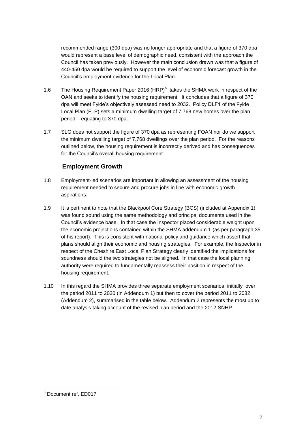recommended range (300 dpa) was no longer appropriate and that a figure of 370 dpa would represent a base level of demographic need, consistent with the approach the Council has taken previously. However the main conclusion drawn was that a figure of 440-450 dpa would be required to support the level of economic forecast growth in the Council's employment evidence for the Local Plan.

- 1.6 The Housing Requirement Paper 2016 (HRP) $<sup>5</sup>$  takes the SHMA work in respect of the</sup> OAN and seeks to identify the housing requirement. It concludes that a figure of 370 dpa will meet Fylde's objectively assessed need to 2032. Policy DLF1 of the Fylde Local Plan (FLP) sets a minimum dwelling target of 7,768 new homes over the plan period – equating to 370 dpa.
- 1.7 SLG does not support the figure of 370 dpa as representing FOAN nor do we support the minimum dwelling target of 7,768 dwellings over the plan period. For the reasons outlined below, the housing requirement is incorrectly derived and has consequences for the Council's overall housing requirement.

# **Employment Growth**

- 1.8 Employment-led scenarios are important in allowing an assessment of the housing requirement needed to secure and procure jobs in line with economic growth aspirations.
- 1.9 It is pertinent to note that the Blackpool Core Strategy (BCS) (included at Appendix 1) was found sound using the same methodology and principal documents used in the Council's evidence base. In that case the Inspector placed considerable weight upon the economic projections contained within the SHMA addendum 1 (as per paragraph 35 of his report). This is consistent with national policy and guidance which assert that plans should align their economic and housing strategies. For example, the Inspector in respect of the Cheshire East Local Plan Strategy clearly identified the implications for soundness should the two strategies not be aligned. In that case the local planning authority were required to fundamentally reassess their position in respect of the housing requirement.
- 1.10 In this regard the SHMA provides three separate employment scenarios, initially over the period 2011 to 2030 (in Addendum 1) but then to cover the period 2011 to 2032 (Addendum 2), summarised in the table below. Addendum 2 represents the most up to date analysis taking account of the revised plan period and the 2012 SNHP.

<sup>-</sup><sup>5</sup> Document ref. ED017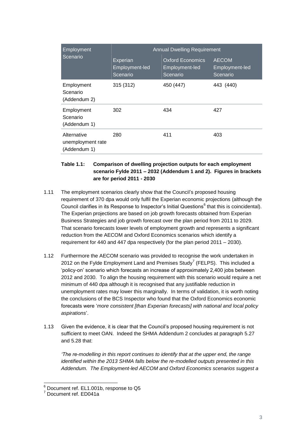| Employment<br>Scenario                           | <b>Annual Dwelling Requirement</b>     |                                                       |                                            |
|--------------------------------------------------|----------------------------------------|-------------------------------------------------------|--------------------------------------------|
|                                                  | Experian<br>Employment-led<br>Scenario | <b>Oxford Economics</b><br>Employment-led<br>Scenario | <b>AECOM</b><br>Employment-led<br>Scenario |
| Employment<br>Scenario<br>(Addendum 2)           | 315 (312)                              | 450 (447)                                             | 443 (440)                                  |
| Employment<br>Scenario<br>(Addendum 1)           | 302                                    | 434                                                   | 427                                        |
| Alternative<br>unemployment rate<br>(Addendum 1) | 280                                    | 411                                                   | 403                                        |

## **Table 1.1: Comparison of dwelling projection outputs for each employment scenario Fylde 2011 – 2032 (Addendum 1 and 2). Figures in brackets are for period 2011 - 2030**

- 1.11 The employment scenarios clearly show that the Council's proposed housing requirement of 370 dpa would only fulfil the Experian economic projections (although the Council clarifies in its Response to Inspector's Initial Questions<sup>6</sup> that this is coincidental). The Experian projections are based on job growth forecasts obtained from Experian Business Strategies and job growth forecast over the plan period from 2011 to 2029. That scenario forecasts lower levels of employment growth and represents a significant reduction from the AECOM and Oxford Economics scenarios which identify a requirement for 440 and 447 dpa respectively (for the plan period 2011 – 2030).
- 1.12 Furthermore the AECOM scenario was provided to recognise the work undertaken in 2012 on the Fylde Employment Land and Premises Study<sup>7</sup> (FELPS). This included a 'policy-on' scenario which forecasts an increase of approximately 2,400 jobs between 2012 and 2030. To align the housing requirement with this scenario would require a net minimum of 440 dpa although it is recognised that any justifiable reduction in unemployment rates may lower this marginally. In terms of validation, it is worth noting the conclusions of the BCS Inspector who found that the Oxford Economics economic forecasts were '*more consistent [than Experian forecasts] with national and local policy aspirations*'.
- 1.13 Given the evidence, it is clear that the Council's proposed housing requirement is not sufficient to meet OAN. Indeed the SHMA Addendum 2 concludes at paragraph 5.27 and 5.28 that:

*'The re-modelling in this report continues to identify that at the upper end, the range identified within the 2013 SHMA falls below the re-modelled outputs presented in this Addendum. The Employment-led AECOM and Oxford Economics scenarios suggest a* 

 $\overline{\phantom{a}}$ 

 $6$  Document ref. EL1.001b, response to Q5

<sup>7</sup> Document ref. ED041a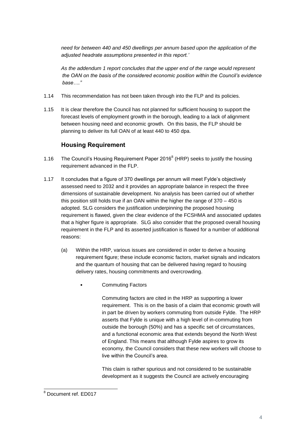*need for between 440 and 450 dwellings per annum based upon the application of the adjusted headrate assumptions presented in this report.'*

*As the addendum 1 report concludes that the upper end of the range would represent the OAN on the basis of the considered economic position within the Council's evidence base…."*

- 1.14 This recommendation has not been taken through into the FLP and its policies.
- 1.15 It is clear therefore the Council has not planned for sufficient housing to support the forecast levels of employment growth in the borough, leading to a lack of alignment between housing need and economic growth. On this basis, the FLP should be planning to deliver its full OAN of at least 440 to 450 dpa.

# **Housing Requirement**

- 1.16 The Council's Housing Requirement Paper 2016 $<sup>8</sup>$  (HRP) seeks to justify the housing</sup> requirement advanced in the FLP.
- 1.17 It concludes that a figure of 370 dwellings per annum will meet Fylde's objectively assessed need to 2032 and it provides an appropriate balance in respect the three dimensions of sustainable development. No analysis has been carried out of whether this position still holds true if an OAN within the higher the range of 370 – 450 is adopted. SLG considers the justification underpinning the proposed housing requirement is flawed, given the clear evidence of the FCSHMA and associated updates that a higher figure is appropriate. SLG also consider that the proposed overall housing requirement in the FLP and its asserted justification is flawed for a number of additional reasons:
	- (a) Within the HRP, various issues are considered in order to derive a housing requirement figure; these include economic factors, market signals and indicators and the quantum of housing that can be delivered having regard to housing delivery rates, housing commitments and overcrowding.
		- Commuting Factors

Commuting factors are cited in the HRP as supporting a lower requirement. This is on the basis of a claim that economic growth will in part be driven by workers commuting from outside Fylde. The HRP asserts that Fylde is unique with a high level of in-commuting from outside the borough (50%) and has a specific set of circumstances, and a functional economic area that extends beyond the North West of England. This means that although Fylde aspires to grow its economy, the Council considers that these new workers will choose to live within the Council's area.

This claim is rather spurious and not considered to be sustainable development as it suggests the Council are actively encouraging

<sup>-</sup><sup>8</sup> Document ref. ED017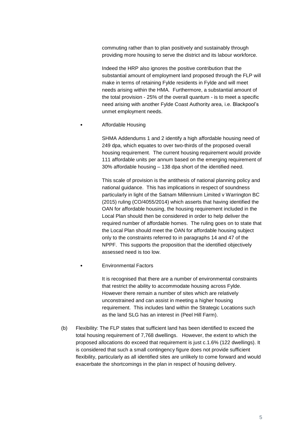commuting rather than to plan positively and sustainably through providing more housing to serve the district and its labour workforce.

Indeed the HRP also ignores the positive contribution that the substantial amount of employment land proposed through the FLP will make in terms of retaining Fylde residents in Fylde and will meet needs arising within the HMA. Furthermore, a substantial amount of the total provision - 25% of the overall quantum - is to meet a specific need arising with another Fylde Coast Authority area, i.e. Blackpool's unmet employment needs.

• Affordable Housing

SHMA Addendums 1 and 2 identify a high affordable housing need of 249 dpa, which equates to over two-thirds of the proposed overall housing requirement. The current housing requirement would provide 111 affordable units per annum based on the emerging requirement of 30% affordable housing – 138 dpa short of the identified need.

This scale of provision is the antithesis of national planning policy and national guidance. This has implications in respect of soundness particularly in light of the Satnam Millennium Limited v Warrington BC (2015) ruling (CO/4055/2014) which asserts that having identified the OAN for affordable housing, the housing requirement included in the Local Plan should then be considered in order to help deliver the required number of affordable homes. The ruling goes on to state that the Local Plan should meet the OAN for affordable housing subject only to the constraints referred to in paragraphs 14 and 47 of the NPPF. This supports the proposition that the identified objectively assessed need is too low.

• Environmental Factors

It is recognised that there are a number of environmental constraints that restrict the ability to accommodate housing across Fylde. However there remain a number of sites which are relatively unconstrained and can assist in meeting a higher housing requirement. This includes land within the Strategic Locations such as the land SLG has an interest in (Peel Hill Farm).

(b) Flexibility: The FLP states that sufficient land has been identified to exceed the total housing requirement of 7,768 dwellings. However, the extent to which the proposed allocations do exceed that requirement is just c.1.6% (122 dwellings). It is considered that such a small contingency figure does not provide sufficient flexibility, particularly as all identified sites are unlikely to come forward and would exacerbate the shortcomings in the plan in respect of housing delivery.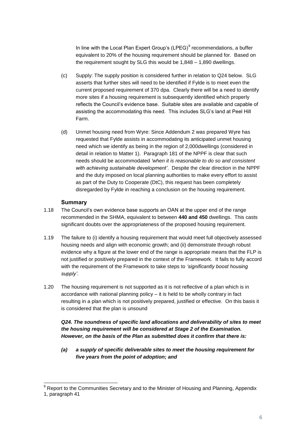In line with the Local Plan Expert Group's (LPEG) $<sup>9</sup>$  recommendations, a buffer</sup> equivalent to 20% of the housing requirement should be planned for. Based on the requirement sought by SLG this would be 1,848 – 1,890 dwellings.

- (c) Supply: The supply position is considered further in relation to Q24 below. SLG asserts that further sites will need to be identified if Fylde is to meet even the current proposed requirement of 370 dpa. Clearly there will be a need to identify more sites if a housing requirement is subsequently identified which properly reflects the Council's evidence base. Suitable sites are available and capable of assisting the accommodating this need. This includes SLG's land at Peel Hill Farm.
- (d) Unmet housing need from Wyre: Since Addendum 2 was prepared Wyre has requested that Fylde assists in accommodating its anticipated unmet housing need which we identify as being in the region of 2,000dwellings (considered in detail in relation to Matter 1). Paragraph 181 of the NPPF is clear that such needs should be accommodated *'when it is reasonable to do so and consistent with achieving sustainable development'*. Despite the clear direction in the NPPF and the duty imposed on local planning authorities to make every effort to assist as part of the Duty to Cooperate (DtC), this request has been completely disregarded by Fylde in reaching a conclusion on the housing requirement.

# **Summary**

- 1.18 The Council's own evidence base supports an OAN at the upper end of the range recommended in the SHMA, equivalent to between **440 and 450** dwellings. This casts significant doubts over the appropriateness of the proposed housing requirement.
- 1.19 The failure to (i) identify a housing requirement that would meet full objectively assessed housing needs and align with economic growth; and (ii) demonstrate through robust evidence why a figure at the lower end of the range is appropriate means that the FLP is not justified or positively prepared in the context of the Framework. It fails to fully accord with the requirement of the Framework to take steps to *'significantly boost housing supply'*.
- 1.20 The housing requirement is not supported as it is not reflective of a plan which is in accordance with national planning policy – it is held to be wholly contrary in fact resulting in a plan which is not positively prepared, justified or effective. On this basis it is considered that the plan is unsound

*Q24. The soundness of specific land allocations and deliverability of sites to meet the housing requirement will be considered at Stage 2 of the Examination. However, on the basis of the Plan as submitted does it confirm that there is:*

*(a) a supply of specific deliverable sites to meet the housing requirement for five years from the point of adoption; and* 

  $9$  Report to the Communities Secretary and to the Minister of Housing and Planning, Appendix

<sup>1,</sup> paragraph 41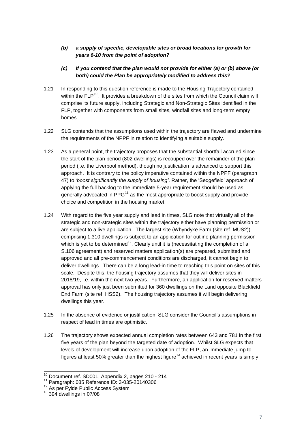- *(b) a supply of specific, developable sites or broad locations for growth for years 6-10 from the point of adoption?*
- *(c) If you contend that the plan would not provide for either (a) or (b) above (or both) could the Plan be appropriately modified to address this?*
- 1.21 In responding to this question reference is made to the Housing Trajectory contained within the  $FLP^{10}$ . It provides a breakdown of the sites from which the Council claim will comprise its future supply, including Strategic and Non-Strategic Sites identified in the FLP, together with components from small sites, windfall sites and long-term empty homes.
- 1.22 SLG contends that the assumptions used within the trajectory are flawed and undermine the requirements of the NPPF in relation to identifying a suitable supply.
- 1.23 As a general point, the trajectory proposes that the substantial shortfall accrued since the start of the plan period (802 dwellings) is recouped over the remainder of the plan period (i.e. the Liverpool method), though no justification is advanced to support this approach. It is contrary to the policy imperative contained within the NPPF (paragraph 47) to *'boost significantly the supply of housing'*. Rather, the 'Sedgefield' approach of applying the full backlog to the immediate 5-year requirement should be used as generally advocated in PPG $^{11}$  as the most appropriate to boost supply and provide choice and competition in the housing market.
- 1.24 With regard to the five year supply and lead in times, SLG note that virtually all of the strategic and non-strategic sites within the trajectory either have planning permission or are subject to a live application. The largest site (Whyndyke Farm (site ref. MUS2)) comprising 1,310 dwellings is subject to an application for outline planning permission which is yet to be determined<sup>12</sup>. Clearly until it is (necessitating the completion of a S.106 agreement) and reserved matters application(s) are prepared, submitted and approved and all pre-commencement conditions are discharged, it cannot begin to deliver dwellings. There can be a long lead-in time to reaching this point on sites of this scale. Despite this, the housing trajectory assumes that they will deliver sites in 2018/19, i.e. within the next two years. Furthermore, an application for reserved matters approval has only just been submitted for 360 dwellings on the Land opposite Blackfield End Farm (site ref. HSS2). The housing trajectory assumes it will begin delivering dwellings this year.
- 1.25 In the absence of evidence or justification, SLG consider the Council's assumptions in respect of lead in times are optimistic.
- 1.26 The trajectory shows expected annual completion rates between 643 and 781 in the first five years of the plan beyond the targeted date of adoption. Whilst SLG expects that levels of development will increase upon adoption of the FLP, an immediate jump to figures at least 50% greater than the highest figure<sup>13</sup> achieved in recent years is simply

 $\overline{\phantom{a}}$ 

<sup>&</sup>lt;sup>10</sup> Document ref. SD001, Appendix 2, pages 210 - 214

<sup>11</sup> Paragraph: 035 Reference ID: 3-035-20140306

<sup>&</sup>lt;sup>12</sup> As per Fylde Public Access System

 $13$  394 dwellings in 07/08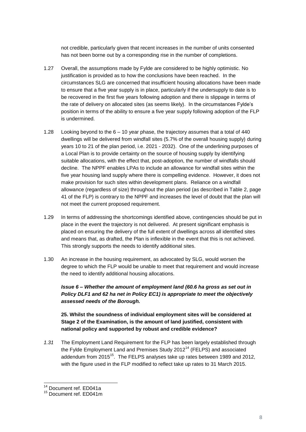not credible, particularly given that recent increases in the number of units consented has not been borne out by a corresponding rise in the number of completions.

- 1.27 Overall, the assumptions made by Fylde are considered to be highly optimistic. No justification is provided as to how the conclusions have been reached. In the circumstances SLG are concerned that insufficient housing allocations have been made to ensure that a five year supply is in place, particularly if the undersupply to date is to be recovered in the first five years following adoption and there is slippage in terms of the rate of delivery on allocated sites (as seems likely). In the circumstances Fylde's position in terms of the ability to ensure a five year supply following adoption of the FLP is undermined.
- 1.28 Looking beyond to the 6 10 year phase, the trajectory assumes that a total of 440 dwellings will be delivered from windfall sites (5.7% of the overall housing supply) during years 10 to 21 of the plan period, i.e. 2021 - 2032). One of the underlining purposes of a Local Plan is to provide certainty on the source of housing supply by identifying suitable allocations, with the effect that, post-adoption, the number of windfalls should decline. The NPPF enables LPAs to include an allowance for windfall sites within the five year housing land supply where there is compelling evidence. However, it does not make provision for such sites within development plans. Reliance on a windfall allowance (regardless of size) throughout the plan period (as described in Table 2, page 41 of the FLP) is contrary to the NPPF and increases the level of doubt that the plan will not meet the current proposed requirement.
- 1.29 In terms of addressing the shortcomings identified above, contingencies should be put in place in the event the trajectory is not delivered. At present significant emphasis is placed on ensuring the delivery of the full extent of dwellings across all identified sites and means that, as drafted, the Plan is inflexible in the event that this is not achieved. This strongly supports the needs to identify additional sites.
- 1.30 An increase in the housing requirement, as advocated by SLG, would worsen the degree to which the FLP would be unable to meet that requirement and would increase the need to identify additional housing allocations.

# *Issue 6 – Whether the amount of employment land (60.6 ha gross as set out in Policy DLF1 and 62 ha net in Policy EC1) is appropriate to meet the objectively assessed needs of the Borough.*

### **25. Whilst the soundness of individual employment sites will be considered at Stage 2 of the Examination, is the amount of land justified, consistent with national policy and supported by robust and credible evidence?**

*1.31* The Employment Land Requirement for the FLP has been largely established through the Fylde Employment Land and Premises Study 2012<sup>14</sup> (FELPS) and associated addendum from 2015<sup>15</sup>. The FELPS analyses take up rates between 1989 and 2012, with the figure used in the FLP modified to reflect take up rates to 31 March 2015.

 $\overline{\phantom{a}}$ <sup>14</sup> Document ref. ED041a

<sup>15</sup> Document ref. ED041m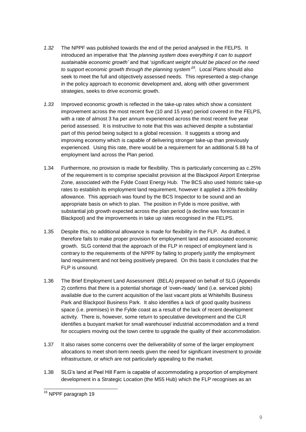- *1.32* The NPPF was published towards the end of the period analysed in the FELPS. It introduced an imperative that *'the planning system does everything it can to support sustainable economic growth'* and that '*significant weight should be placed on the need to support economic growth through the planning system' 16 .* Local Plans should also seek to meet the full and objectively assessed needs. This represented a step-change in the policy approach to economic development and, along with other government strategies, seeks to drive economic growth.
- *1.33* Improved economic growth is reflected in the take-up rates which show a consistent improvement across the most recent five (10 and 15 year) period covered in the FELPS, with a rate of almost 3 ha per annum experienced across the most recent five year period assessed. It is instructive to note that this was achieved despite a substantial part of this period being subject to a global recession. It suggests a strong and improving economy which is capable of delivering stronger take-up than previously experienced. Using this rate, there would be a requirement for an additional 5.88 ha of employment land across the Plan period.
- 1.34 Furthermore, no provision is made for flexibility. This is particularly concerning as c.25% of the requirement is to comprise specialist provision at the Blackpool Airport Enterprise Zone, associated with the Fylde Coast Energy Hub. The BCS also used historic take-up rates to establish its employment land requirement, however it applied a 20% flexibility allowance. This approach was found by the BCS Inspector to be sound and an appropriate basis on which to plan. The position in Fylde is more positive, with substantial job growth expected across the plan period (a decline was forecast in Blackpool) and the improvements in take up rates recognised in the FELPS.
- 1.35 Despite this, no additional allowance is made for flexibility in the FLP. As drafted, it therefore fails to make proper provision for employment land and associated economic growth. SLG contend that the approach of the FLP in respect of employment land is contrary to the requirements of the NPPF by failing to properly justify the employment land requirement and not being positively prepared. On this basis it concludes that the FLP is unsound.
- 1.36 The Brief Employment Land Assessment (BELA) prepared on behalf of SLG (Appendix 2) confirms that there is a potential shortage of 'oven-ready' land (i.e. serviced plots) available due to the current acquisition of the last vacant plots at Whitehills Business Park and Blackpool Business Park. It also identifies a lack of good quality business space (i.e. premises) in the Fylde coast as a result of the lack of recent development activity. There is, however, some return to speculative development and the CLR identifies a buoyant market for small warehouse/ industrial accommodation and a trend for occupiers moving out the town centre to upgrade the quality of their accommodation.
- 1.37 It also raises some concerns over the deliverability of some of the larger employment allocations to meet short-term needs given the need for significant investment to provide infrastructure, or which are not particularly appealing to the market.
- 1.38 SLG's land at Peel Hill Farm is capable of accommodating a proportion of employment development in a Strategic Location (the M55 Hub) which the FLP recognises as an

<sup>-</sup><sup>16</sup> NPPF paragraph 19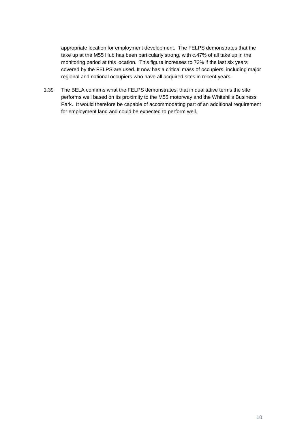appropriate location for employment development. The FELPS demonstrates that the take up at the M55 Hub has been particularly strong, with c.47% of all take up in the monitoring period at this location. This figure increases to 72% if the last six years covered by the FELPS are used. It now has a critical mass of occupiers, including major regional and national occupiers who have all acquired sites in recent years.

1.39 The BELA confirms what the FELPS demonstrates, that in qualitative terms the site performs well based on its proximity to the M55 motorway and the Whitehills Business Park. It would therefore be capable of accommodating part of an additional requirement for employment land and could be expected to perform well.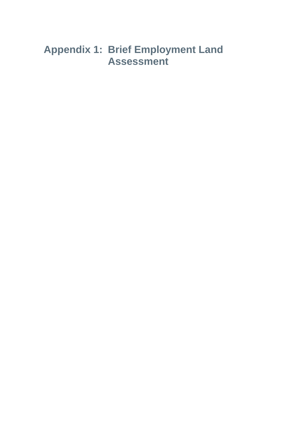# **Appendix 1: Brief Employment Land Assessment**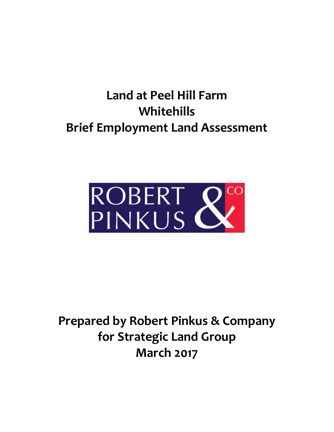# **Land at Peel Hill Farm Whitehills Brief Employment Land Assessment**



**Prepared by Robert Pinkus & Company for Strategic Land Group March 2017**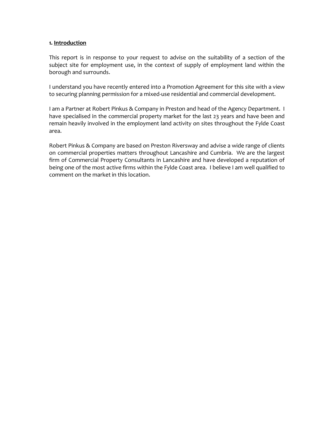### **1. Introduction**

This report is in response to your request to advise on the suitability of a section of the subject site for employment use, in the context of supply of employment land within the borough and surrounds.

I understand you have recently entered into a Promotion Agreement for this site with a view to securing planning permission for a mixed-use residential and commercial development.

I am a Partner at Robert Pinkus & Company in Preston and head of the Agency Department. I have specialised in the commercial property market for the last 23 years and have been and remain heavily involved in the employment land activity on sites throughout the Fylde Coast area.

Robert Pinkus & Company are based on Preston Riversway and advise a wide range of clients on commercial properties matters throughout Lancashire and Cumbria. We are the largest firm of Commercial Property Consultants in Lancashire and have developed a reputation of being one of the most active firms within the Fylde Coast area. I believe I am well qualified to comment on the market in this location.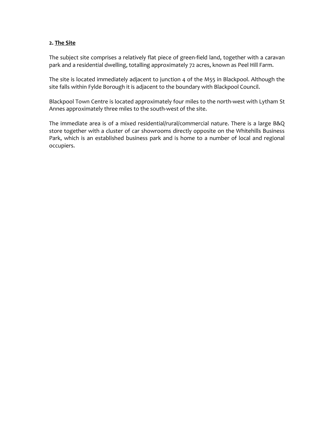### **2. The Site**

The subject site comprises a relatively flat piece of green-field land, together with a caravan park and a residential dwelling, totalling approximately 72 acres, known as Peel Hill Farm.

The site is located immediately adjacent to junction 4 of the M55 in Blackpool. Although the site falls within Fylde Borough it is adjacent to the boundary with Blackpool Council.

Blackpool Town Centre is located approximately four miles to the north-west with Lytham St Annes approximately three miles to the south-west of the site.

The immediate area is of a mixed residential/rural/commercial nature. There is a large B&Q store together with a cluster of car showrooms directly opposite on the Whitehills Business Park, which is an established business park and is home to a number of local and regional occupiers.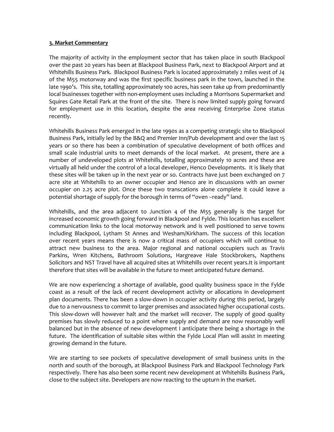### **3. Market Commentary**

The majority of activity in the employment sector that has taken place in south Blackpool over the past 20 years has been at Blackpool Business Park, next to Blackpool Airport and at Whitehills Business Park. Blackpool Business Park is located approximately 2 miles west of J4 of the M55 motorway and was the first specific business park in the town, launched in the late 1990's. This site, totalling approximately 100 acres, has seen take up from predominantly local businesses together with non-employment uses including a Morrisons Supermarket and Squires Gate Retail Park at the front of the site. There is now limited supply going forward for employment use in this location, despite the area receiving Enterprise Zone status recently.

Whitehills Business Park emerged in the late 1990s as a competing strategic site to Blackpool Business Park, initially led by the B&Q and Premier Inn/Pub development and over the last 15 years or so there has been a combination of speculative development of both offices and small scale industrial units to meet demands of the local market. At present, there are a number of undeveloped plots at Whitehills, totalling approximately 10 acres and these are virtually all held under the control of a local developer, Henco Developments. It is likely that these sites will be taken up in the next year or so. Contracts have just been exchanged on 7 acre site at Whitehills to an owner occupier and Henco are in discussions with an owner occupier on 2.25 acre plot. Once these two transcations alone complete it could leave a potential shortage of supply for the borough in terms of "oven –ready" land.

Whitehills, and the area adjacent to Junction 4 of the M55 generally is the target for increased economic growth going forward in Blackpool and Fylde. This location has excellent communication links to the local motorway network and is well positioned to serve towns including Blackpool, Lytham St Annes and Wesham/Kirkham. The success of this location over recent years means there is now a critical mass of occupiers which will continue to attract new business to the area. Major regional and national occupiers such as Travis Parkins, Wren Kitchens, Bathroom Solutions, Hargreave Hale Stockbrokers, Napthens Solicitors and NST Travel have all acquired sites at Whitehills over recent years.It is important therefore that sites will be available in the future to meet anticipated future demand.

We are now experiencing a shortage of available, good quality business space in the Fylde coast as a result of the lack of recent development activity or allocations in development plan documents. There has been a slow-down in occupier activity during this period, largely due to a nervousness to commit to larger premises and associated higher occupational costs. This slow-down will however halt and the market will recover. The supply of good quality premises has slowly reduced to a point where supply and demand are now reasonably well balanced but in the absence of new development I anticipate there being a shortage in the future. The identification of suitable sites within the Fylde Local Plan will assist in meeting growing demand in the future.

We are starting to see pockets of speculative development of small business units in the north and south of the borough, at Blackpool Business Park and Blackpool Technology Park respectively. There has also been some recent new development at Whitehills Business Park, close to the subject site. Developers are now reacting to the upturn in the market.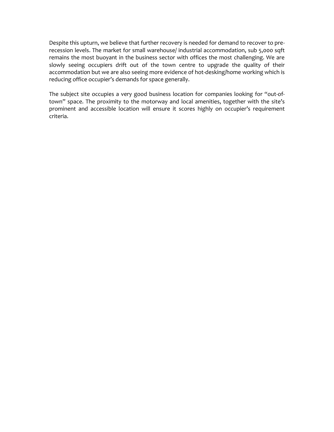Despite this upturn, we believe that further recovery is needed for demand to recover to prerecession levels. The market for small warehouse/ industrial accommodation, sub 5,000 sqft remains the most buoyant in the business sector with offices the most challenging. We are slowly seeing occupiers drift out of the town centre to upgrade the quality of their accommodation but we are also seeing more evidence of hot-desking/home working which is reducing office occupier's demands for space generally.

The subject site occupies a very good business location for companies looking for "out-oftown" space. The proximity to the motorway and local amenities, together with the site's prominent and accessible location will ensure it scores highly on occupier's requirement criteria.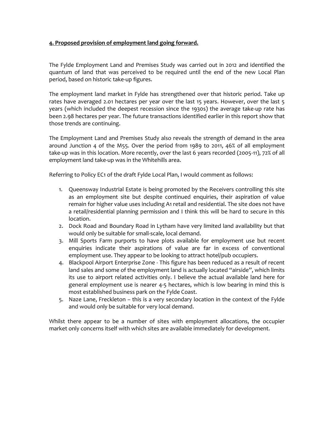### **4. Proposed provision of employment land going forward.**

The Fylde Employment Land and Premises Study was carried out in 2012 and identified the quantum of land that was perceived to be required until the end of the new Local Plan period, based on historic take-up figures.

The employment land market in Fylde has strengthened over that historic period. Take up rates have averaged 2.01 hectares per year over the last 15 years. However, over the last 5 years (which included the deepest recession since the 1930s) the average take-up rate has been 2.98 hectares per year. The future transactions identified earlier in this report show that those trends are continuing.

The Employment Land and Premises Study also reveals the strength of demand in the area around Junction 4 of the M55. Over the period from 1989 to 2011, 46% of all employment take-up was in this location. More recently, over the last 6 years recorded (2005-11), 72% of all employment land take-up was in the Whitehills area.

Referring to Policy EC1 of the draft Fylde Local Plan, I would comment as follows:

- 1. Queensway Industrial Estate is being promoted by the Receivers controlling this site as an employment site but despite continued enquiries, their aspiration of value remain for higher value uses including A1 retail and residential. The site does not have a retail/residential planning permission and I think this will be hard to secure in this location.
- 2. Dock Road and Boundary Road in Lytham have very limited land availability but that would only be suitable for small-scale, local demand.
- 3. Mill Sports Farm purports to have plots available for employment use but recent enquiries indicate their aspirations of value are far in excess of conventional employment use. They appear to be looking to attract hotel/pub occupiers.
- 4. Blackpool Airport Enterprise Zone This figure has been reduced as a result of recent land sales and some of the employment land is actually located "airside", which limits its use to airport related activities only. I believe the actual available land here for general employment use is nearer 4-5 hectares, which is low bearing in mind this is most established business park on the Fylde Coast.
- 5. Naze Lane, Freckleton this is a very secondary location in the context of the Fylde and would only be suitable for very local demand.

Whilst there appear to be a number of sites with employment allocations, the occupier market only concerns itself with which sites are available immediately for development.